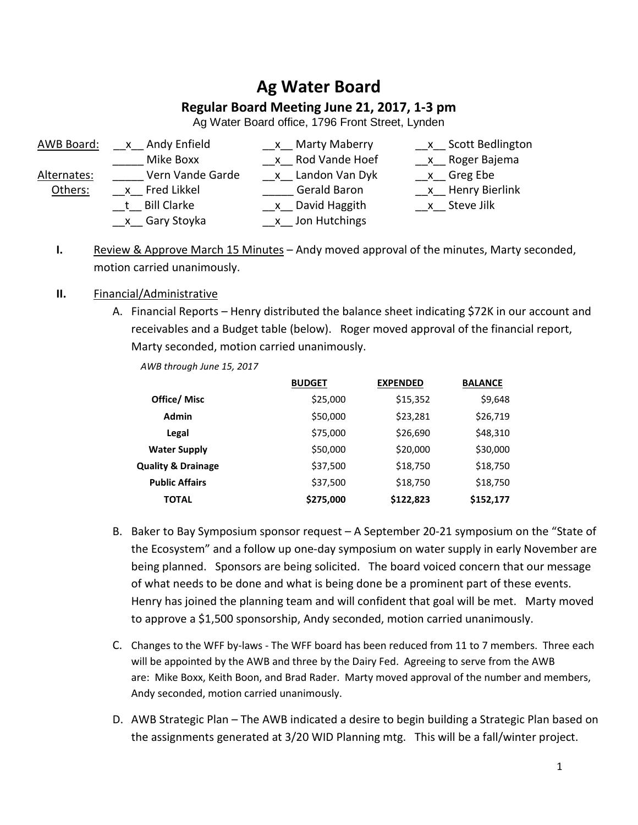# **Ag Water Board**

# **Regular Board Meeting June 21, 2017, 1-3 pm**

Ag Water Board office, 1796 Front Street, Lynden

- 
- 
- 
- 
- 
- 
- 
- \_\_x\_\_ Gary Stoyka \_\_\_\_\_\_\_\_\_\_ \_\_\_ x\_\_ Jon Hutchings
- AWB Board: \_\_\_x\_\_ Andy Enfield \_\_\_\_\_\_\_\_\_\_\_\_\_\_ X\_\_ Marty Maberry \_\_\_\_\_\_\_\_ x\_\_ Scott Bedlington
	- Mike Boxx  $x$  Rod Vande Hoef  $x$  Roger Bajema
- Alternates: Vern Vande Garde x Landon Van Dyk x Greg Ebe
	- Others: X Fred Likkel Gerald Baron X Henry Bierlink
		- t Bill Clarke **Execute Steve Steve Steve Jilk**
	- **I.** Review & Approve March 15 Minutes Andy moved approval of the minutes, Marty seconded, motion carried unanimously.

#### **II.** Financial/Administrative

A. Financial Reports – Henry distributed the balance sheet indicating \$72K in our account and receivables and a Budget table (below). Roger moved approval of the financial report, Marty seconded, motion carried unanimously.

|                               | <b>BUDGET</b> | <b>EXPENDED</b> | <b>BALANCE</b> |
|-------------------------------|---------------|-----------------|----------------|
| Office/ Misc                  | \$25,000      | \$15,352        | \$9,648        |
| <b>Admin</b>                  | \$50,000      | \$23,281        | \$26,719       |
| Legal                         | \$75,000      | \$26,690        | \$48,310       |
| <b>Water Supply</b>           | \$50,000      | \$20,000        | \$30,000       |
| <b>Quality &amp; Drainage</b> | \$37,500      | \$18,750        | \$18,750       |
| <b>Public Affairs</b>         | \$37,500      | \$18,750        | \$18,750       |
| TOTAL                         | \$275,000     | \$122,823       | \$152,177      |

*AWB through June 15, 2017*

- B. Baker to Bay Symposium sponsor request A September 20-21 symposium on the "State of the Ecosystem" and a follow up one-day symposium on water supply in early November are being planned. Sponsors are being solicited. The board voiced concern that our message of what needs to be done and what is being done be a prominent part of these events. Henry has joined the planning team and will confident that goal will be met. Marty moved to approve a \$1,500 sponsorship, Andy seconded, motion carried unanimously.
- C. Changes to the WFF by-laws The WFF board has been reduced from 11 to 7 members. Three each will be appointed by the AWB and three by the Dairy Fed. Agreeing to serve from the AWB are: Mike Boxx, Keith Boon, and Brad Rader. Marty moved approval of the number and members, Andy seconded, motion carried unanimously.
- D. AWB Strategic Plan The AWB indicated a desire to begin building a Strategic Plan based on the assignments generated at 3/20 WID Planning mtg. This will be a fall/winter project.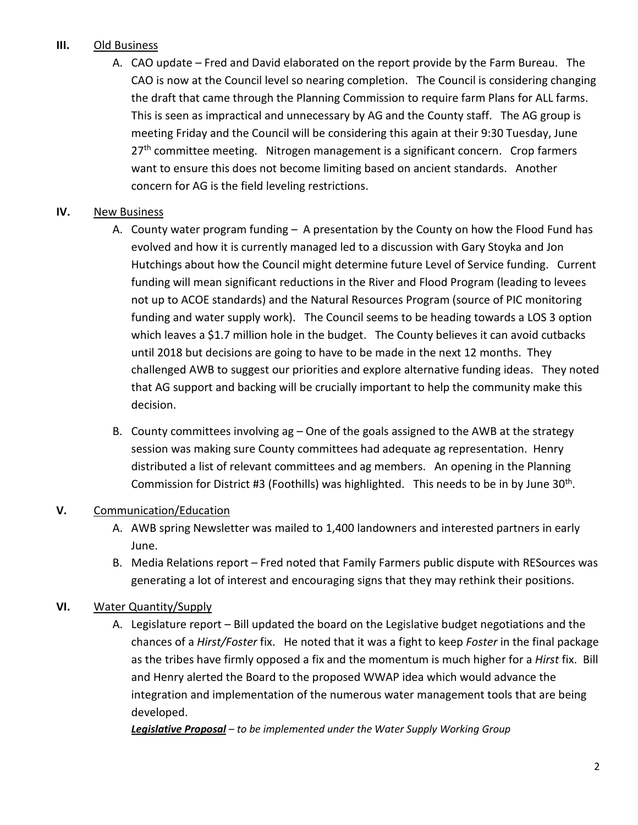# **III.** Old Business

A. CAO update *–* Fred and David elaborated on the report provide by the Farm Bureau. The CAO is now at the Council level so nearing completion. The Council is considering changing the draft that came through the Planning Commission to require farm Plans for ALL farms. This is seen as impractical and unnecessary by AG and the County staff. The AG group is meeting Friday and the Council will be considering this again at their 9:30 Tuesday, June 27<sup>th</sup> committee meeting. Nitrogen management is a significant concern. Crop farmers want to ensure this does not become limiting based on ancient standards. Another concern for AG is the field leveling restrictions.

## **IV.** New Business

- A. County water program funding A presentation by the County on how the Flood Fund has evolved and how it is currently managed led to a discussion with Gary Stoyka and Jon Hutchings about how the Council might determine future Level of Service funding. Current funding will mean significant reductions in the River and Flood Program (leading to levees not up to ACOE standards) and the Natural Resources Program (source of PIC monitoring funding and water supply work). The Council seems to be heading towards a LOS 3 option which leaves a \$1.7 million hole in the budget. The County believes it can avoid cutbacks until 2018 but decisions are going to have to be made in the next 12 months. They challenged AWB to suggest our priorities and explore alternative funding ideas. They noted that AG support and backing will be crucially important to help the community make this decision.
- B. County committees involving ag One of the goals assigned to the AWB at the strategy session was making sure County committees had adequate ag representation. Henry distributed a list of relevant committees and ag members. An opening in the Planning Commission for District #3 (Foothills) was highlighted. This needs to be in by June 30<sup>th</sup>.

## **V.** Communication/Education

- A. AWB spring Newsletter was mailed to 1,400 landowners and interested partners in early June.
- B. Media Relations report Fred noted that Family Farmers public dispute with RESources was generating a lot of interest and encouraging signs that they may rethink their positions.

## **VI.** Water Quantity/Supply

A. Legislature report – Bill updated the board on the Legislative budget negotiations and the chances of a *Hirst/Foster* fix. He noted that it was a fight to keep *Foster* in the final package as the tribes have firmly opposed a fix and the momentum is much higher for a *Hirst* fix. Bill and Henry alerted the Board to the proposed WWAP idea which would advance the integration and implementation of the numerous water management tools that are being developed.

*Legislative Proposal – to be implemented under the Water Supply Working Group*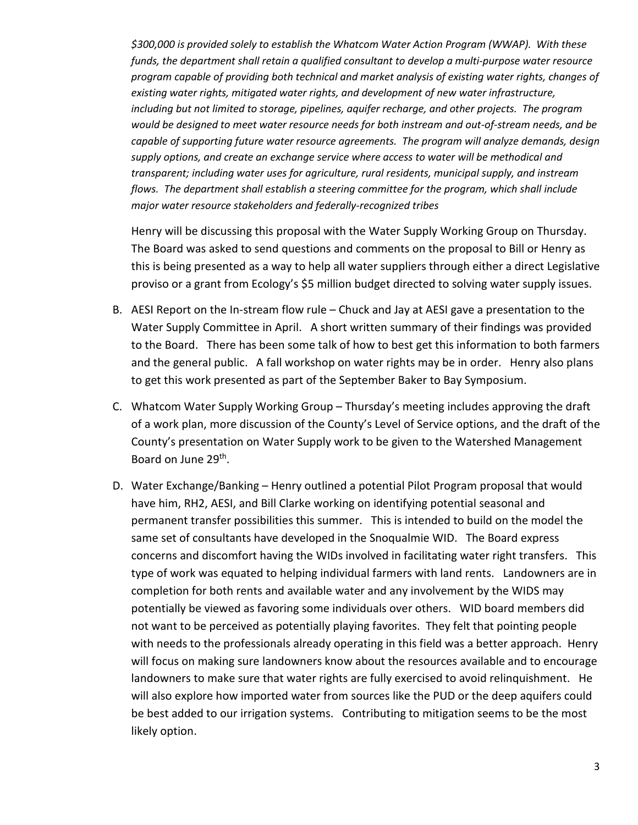*\$300,000 is provided solely to establish the Whatcom Water Action Program (WWAP). With these funds, the department shall retain a qualified consultant to develop a multi-purpose water resource program capable of providing both technical and market analysis of existing water rights, changes of existing water rights, mitigated water rights, and development of new water infrastructure, including but not limited to storage, pipelines, aquifer recharge, and other projects. The program would be designed to meet water resource needs for both instream and out-of-stream needs, and be capable of supporting future water resource agreements. The program will analyze demands, design supply options, and create an exchange service where access to water will be methodical and transparent; including water uses for agriculture, rural residents, municipal supply, and instream flows. The department shall establish a steering committee for the program, which shall include major water resource stakeholders and federally-recognized tribes*

Henry will be discussing this proposal with the Water Supply Working Group on Thursday. The Board was asked to send questions and comments on the proposal to Bill or Henry as this is being presented as a way to help all water suppliers through either a direct Legislative proviso or a grant from Ecology's \$5 million budget directed to solving water supply issues.

- B. AESI Report on the In-stream flow rule Chuck and Jay at AESI gave a presentation to the Water Supply Committee in April. A short written summary of their findings was provided to the Board. There has been some talk of how to best get this information to both farmers and the general public. A fall workshop on water rights may be in order. Henry also plans to get this work presented as part of the September Baker to Bay Symposium.
- C. Whatcom Water Supply Working Group Thursday's meeting includes approving the draft of a work plan, more discussion of the County's Level of Service options, and the draft of the County's presentation on Water Supply work to be given to the Watershed Management Board on June 29th.
- D. Water Exchange/Banking Henry outlined a potential Pilot Program proposal that would have him, RH2, AESI, and Bill Clarke working on identifying potential seasonal and permanent transfer possibilities this summer. This is intended to build on the model the same set of consultants have developed in the Snoqualmie WID. The Board express concerns and discomfort having the WIDs involved in facilitating water right transfers. This type of work was equated to helping individual farmers with land rents. Landowners are in completion for both rents and available water and any involvement by the WIDS may potentially be viewed as favoring some individuals over others. WID board members did not want to be perceived as potentially playing favorites. They felt that pointing people with needs to the professionals already operating in this field was a better approach. Henry will focus on making sure landowners know about the resources available and to encourage landowners to make sure that water rights are fully exercised to avoid relinquishment. He will also explore how imported water from sources like the PUD or the deep aquifers could be best added to our irrigation systems. Contributing to mitigation seems to be the most likely option.